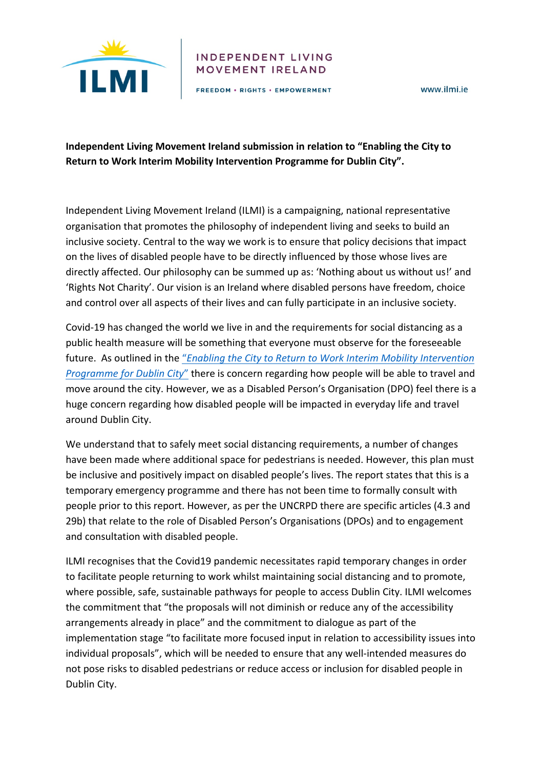

#### **INDEPENDENT LIVING** MOVEMENT IRELAND

FREEDOM . RIGHTS . EMPOWERMENT

www.ilmi.ie

# **Independent Living Movement Ireland submission in relation to "Enabling the City to** Return to Work Interim Mobility Intervention Programme for Dublin City".

Independent Living Movement Ireland (ILMI) is a campaigning, national representative organisation that promotes the philosophy of independent living and seeks to build an inclusive society. Central to the way we work is to ensure that policy decisions that impact on the lives of disabled people have to be directly influenced by those whose lives are directly affected. Our philosophy can be summed up as: 'Nothing about us without us!' and 'Rights Not Charity'. Our vision is an Ireland where disabled persons have freedom, choice and control over all aspects of their lives and can fully participate in an inclusive society.

Covid-19 has changed the world we live in and the requirements for social distancing as a public health measure will be something that everyone must observe for the foreseeable future. As outlined in the "*Enabling the City to Return to Work Interim Mobility Intervention Programme for Dublin City*" there is concern regarding how people will be able to travel and move around the city. However, we as a Disabled Person's Organisation (DPO) feel there is a huge concern regarding how disabled people will be impacted in everyday life and travel around Dublin City.

We understand that to safely meet social distancing requirements, a number of changes have been made where additional space for pedestrians is needed. However, this plan must be inclusive and positively impact on disabled people's lives. The report states that this is a temporary emergency programme and there has not been time to formally consult with people prior to this report. However, as per the UNCRPD there are specific articles (4.3 and 29b) that relate to the role of Disabled Person's Organisations (DPOs) and to engagement and consultation with disabled people.

ILMI recognises that the Covid19 pandemic necessitates rapid temporary changes in order to facilitate people returning to work whilst maintaining social distancing and to promote, where possible, safe, sustainable pathways for people to access Dublin City. ILMI welcomes the commitment that "the proposals will not diminish or reduce any of the accessibility arrangements already in place" and the commitment to dialogue as part of the implementation stage "to facilitate more focused input in relation to accessibility issues into individual proposals", which will be needed to ensure that any well-intended measures do not pose risks to disabled pedestrians or reduce access or inclusion for disabled people in Dublin City.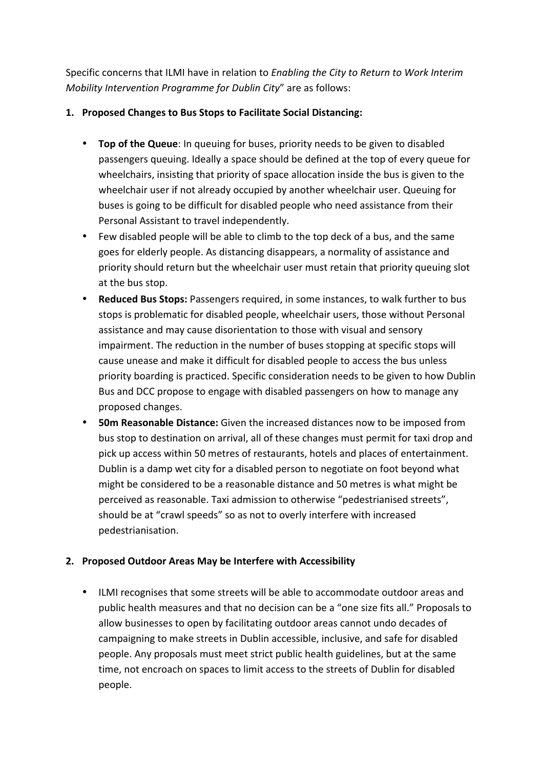Specific concerns that ILMI have in relation to *Enabling the City to Return to Work Interim Mobility Intervention Programme for Dublin City*" are as follows:

## 1. **Proposed Changes to Bus Stops to Facilitate Social Distancing:**

- **Top of the Queue**: In queuing for buses, priority needs to be given to disabled passengers queuing. Ideally a space should be defined at the top of every queue for wheelchairs, insisting that priority of space allocation inside the bus is given to the wheelchair user if not already occupied by another wheelchair user. Queuing for buses is going to be difficult for disabled people who need assistance from their Personal Assistant to travel independently.
- Few disabled people will be able to climb to the top deck of a bus, and the same goes for elderly people. As distancing disappears, a normality of assistance and priority should return but the wheelchair user must retain that priority queuing slot at the bus stop.
- **Reduced Bus Stops:** Passengers required, in some instances, to walk further to bus stops is problematic for disabled people, wheelchair users, those without Personal assistance and may cause disorientation to those with visual and sensory impairment. The reduction in the number of buses stopping at specific stops will cause unease and make it difficult for disabled people to access the bus unless priority boarding is practiced. Specific consideration needs to be given to how Dublin Bus and DCC propose to engage with disabled passengers on how to manage any proposed changes.
- **50m Reasonable Distance:** Given the increased distances now to be imposed from bus stop to destination on arrival, all of these changes must permit for taxi drop and pick up access within 50 metres of restaurants, hotels and places of entertainment. Dublin is a damp wet city for a disabled person to negotiate on foot beyond what might be considered to be a reasonable distance and 50 metres is what might be perceived as reasonable. Taxi admission to otherwise "pedestrianised streets", should be at "crawl speeds" so as not to overly interfere with increased pedestrianisation.

# **2. Proposed Outdoor Areas May be Interfere with Accessibility**

• ILMI recognises that some streets will be able to accommodate outdoor areas and public health measures and that no decision can be a "one size fits all." Proposals to allow businesses to open by facilitating outdoor areas cannot undo decades of campaigning to make streets in Dublin accessible, inclusive, and safe for disabled people. Any proposals must meet strict public health guidelines, but at the same time, not encroach on spaces to limit access to the streets of Dublin for disabled people.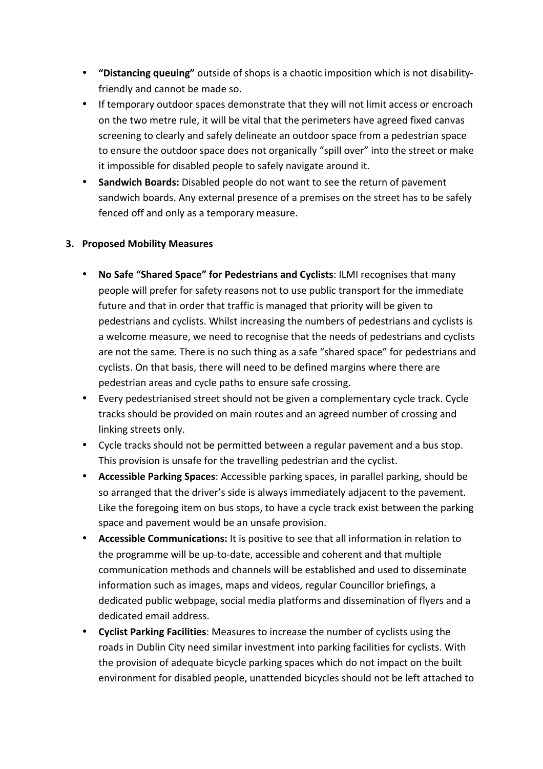- **"Distancing queuing"** outside of shops is a chaotic imposition which is not disabilityfriendly and cannot be made so.
- If temporary outdoor spaces demonstrate that they will not limit access or encroach on the two metre rule, it will be vital that the perimeters have agreed fixed canvas screening to clearly and safely delineate an outdoor space from a pedestrian space to ensure the outdoor space does not organically "spill over" into the street or make it impossible for disabled people to safely navigate around it.
- **Sandwich Boards:** Disabled people do not want to see the return of pavement sandwich boards. Any external presence of a premises on the street has to be safely fenced off and only as a temporary measure.

### **3. Proposed Mobility Measures**

- No Safe "Shared Space" for Pedestrians and Cyclists: ILMI recognises that many people will prefer for safety reasons not to use public transport for the immediate future and that in order that traffic is managed that priority will be given to pedestrians and cyclists. Whilst increasing the numbers of pedestrians and cyclists is a welcome measure, we need to recognise that the needs of pedestrians and cyclists are not the same. There is no such thing as a safe "shared space" for pedestrians and cyclists. On that basis, there will need to be defined margins where there are pedestrian areas and cycle paths to ensure safe crossing.
- Every pedestrianised street should not be given a complementary cycle track. Cycle tracks should be provided on main routes and an agreed number of crossing and linking streets only.
- Cycle tracks should not be permitted between a regular pavement and a bus stop. This provision is unsafe for the travelling pedestrian and the cyclist.
- **Accessible Parking Spaces**: Accessible parking spaces, in parallel parking, should be so arranged that the driver's side is always immediately adjacent to the pavement. Like the foregoing item on bus stops, to have a cycle track exist between the parking space and pavement would be an unsafe provision.
- **Accessible Communications:** It is positive to see that all information in relation to the programme will be up-to-date, accessible and coherent and that multiple communication methods and channels will be established and used to disseminate information such as images, maps and videos, regular Councillor briefings, a dedicated public webpage, social media platforms and dissemination of flyers and a dedicated email address.
- **Cyclist Parking Facilities**: Measures to increase the number of cyclists using the roads in Dublin City need similar investment into parking facilities for cyclists. With the provision of adequate bicycle parking spaces which do not impact on the built environment for disabled people, unattended bicycles should not be left attached to